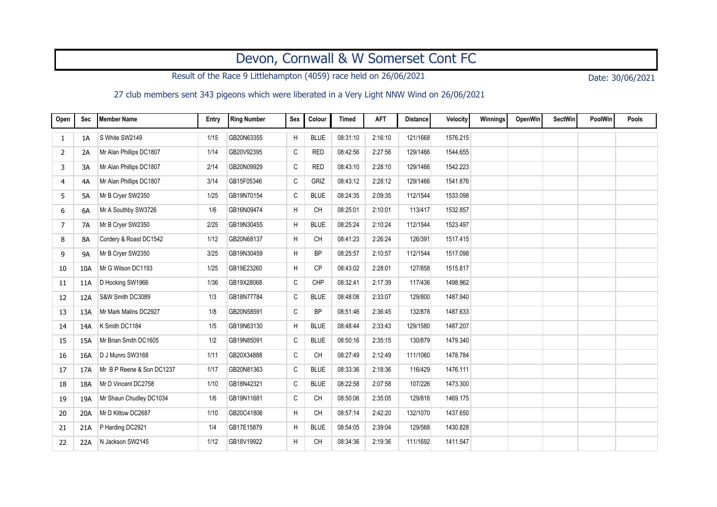## Devon, Cornwall & W Somerset Cont FC

Result of the Race 9 Littlehampton (4059) race held on 26/06/2021 Date: 30/06/2021

27 club members sent 343 pigeons which were liberated in a Very Light NNW Wind on 26/06/2021

| Open | <b>Sec</b> | Member Name               | Entry | <b>Ring Number</b> | Sex          | Colour      | <b>Timed</b> | <b>AFT</b> | <b>Distance</b> | Velocity | Winnings | <b>OpenWin</b> | <b>SectWin</b> | PoolWin | Pools |
|------|------------|---------------------------|-------|--------------------|--------------|-------------|--------------|------------|-----------------|----------|----------|----------------|----------------|---------|-------|
| 1    | 1A         | S White SW2149            | 1/15  | GB20N63355         | Η            | <b>BLUE</b> | 08:31:10     | 2:16:10    | 121/1668        | 1576.215 |          |                |                |         |       |
| 2    | 2A         | Mr Alan Phillips DC1807   | 1/14  | GB20V92395         | C            | <b>RED</b>  | 08:42:56     | 2:27:56    | 129/1466        | 1544.655 |          |                |                |         |       |
| 3    | 3A         | Mr Alan Phillips DC1807   | 2/14  | GB20N09929         | C            | <b>RED</b>  | 08:43:10     | 2:28:10    | 129/1466        | 1542.223 |          |                |                |         |       |
| 4    | 4A         | Mr Alan Phillips DC1807   | 3/14  | GB15F05346         | C            | GRIZ        | 08:43:12     | 2:28:12    | 129/1466        | 1541.876 |          |                |                |         |       |
| 5    | 5A         | Mr B Cryer SW2350         | 1/25  | GB19N70154         | $\mathtt{C}$ | <b>BLUE</b> | 08:24:35     | 2:09:35    | 112/1544        | 1533.098 |          |                |                |         |       |
| 6    | 6A         | Mr A Southby SW3726       | 1/6   | GB16N09474         | H            | <b>CH</b>   | 08:25:01     | 2:10:01    | 113/417         | 1532.857 |          |                |                |         |       |
| 7    | 7A         | Mr B Cryer SW2350         | 2/25  | GB19N30455         | H            | <b>BLUE</b> | 08:25:24     | 2:10:24    | 112/1544        | 1523.497 |          |                |                |         |       |
| 8    | 8A         | Cordery & Roast DC1542    | 1/12  | GB20N68137         | Η            | <b>CH</b>   | 08:41:23     | 2:26:24    | 126/391         | 1517.415 |          |                |                |         |       |
| 9    | <b>9A</b>  | Mr B Cryer SW2350         | 3/25  | GB19N30459         | Н            | <b>BP</b>   | 08:25:57     | 2:10:57    | 112/1544        | 1517.098 |          |                |                |         |       |
| 10   | 10A        | Mr G Wilson DC1193        | 1/25  | GB19E23260         | Н            | <b>CP</b>   | 08:43:02     | 2:28:01    | 127/858         | 1515.817 |          |                |                |         |       |
| 11   | 11A        | D Hocking SW1966          | 1/36  | GB19X28068         | $\mathtt{C}$ | CHP         | 08:32:41     | 2:17:39    | 117/436         | 1498.962 |          |                |                |         |       |
| 12   | 12A        | S&W Smith DC3089          | 1/3   | GB18N77784         | $\mathtt{C}$ | <b>BLUE</b> | 08:48:08     | 2:33:07    | 129/800         | 1487.940 |          |                |                |         |       |
| 13   | 13A        | Mr Mark Malins DC2927     | 1/8   | GB20N58591         | C            | <b>BP</b>   | 08:51:46     | 2:36:45    | 132/878         | 1487.633 |          |                |                |         |       |
| 14   | 14A        | K Smith DC1184            | 1/5   | GB19N63130         | H            | <b>BLUE</b> | 08:48:44     | 2:33:43    | 129/1580        | 1487.207 |          |                |                |         |       |
| 15   | 15A        | Mr Brian Smith DC1605     | 1/2   | GB19N85091         | $\mathtt{C}$ | <b>BLUE</b> | 08:50:16     | 2:35:15    | 130/879         | 1479.340 |          |                |                |         |       |
| 16   | 16A        | D J Munro SW3168          | 1/11  | GB20X34888         | C            | CH          | 08:27:49     | 2:12:49    | 111/1060        | 1478.784 |          |                |                |         |       |
| 17   | 17A        | Mr B P Reene & Son DC1237 | 1/17  | GB20N81363         | C            | <b>BLUE</b> | 08:33:36     | 2:18:36    | 116/429         | 1476.111 |          |                |                |         |       |
| 18   | 18A        | Mr D Vincent DC2758       | 1/10  | GB18N42321         | C            | <b>BLUE</b> | 08:22:58     | 2:07:58    | 107/226         | 1473.300 |          |                |                |         |       |
| 19   | 19A        | Mr Shaun Chudley DC1034   | 1/6   | GB19N11681         | C            | <b>CH</b>   | 08:50:06     | 2:35:05    | 129/816         | 1469.175 |          |                |                |         |       |
| 20   | 20A        | Mr D Kittow DC2687        | 1/10  | GB20C41806         | Н            | <b>CH</b>   | 08:57:14     | 2:42:20    | 132/1070        | 1437.650 |          |                |                |         |       |
| 21   | 21A        | P Harding DC2921          | 1/4   | GB17E15879         | Н            | <b>BLUE</b> | 08:54:05     | 2:39:04    | 129/568         | 1430.828 |          |                |                |         |       |
| 22   | 22A        | N Jackson SW2145          | 1/12  | GB18V19922         | H.           | <b>CH</b>   | 08:34:36     | 2:19:36    | 111/1692        | 1411.547 |          |                |                |         |       |